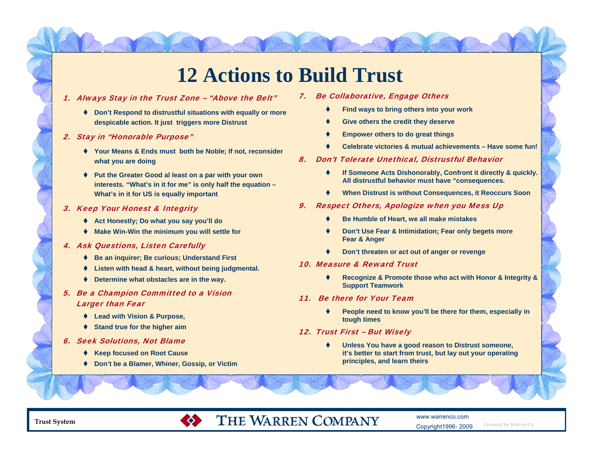# **12 Actions to Build Trust**

#### 1. Always Stay in the Trust Zone – "Above the Belt"

- **Don't Respond to distrustful situations with equally or more despicable action. It just triggers more Distrust**
- 2. Stay in "Honorable Purpose"
	- **Your Means & Ends must both be Noble; If not, reconsider what you are doing**
	- **Put the Greater Good al least on a par with your own interests. "What's in it for me" is only half the equation – What's in it for US is equally important**
- 3. Keep Your Honest & Integrity
	- **Act Honestly; Do what you say you'll do**
	- **Make Win-Win the minimum you will settle for**
- 4. Ask Questions, Listen Carefully
	- **Be an inquirer; Be curious; Understand First**
	- **Listen with head & heart, without being judgmental.**
	- **Determine what obstacles are in the way.**

### 5. Be a Champion Committed to a Vision Larger than Fear

- **Lead with Vision & Purpose,**
- **Stand true for the higher aim**
- 6. Seek Solutions, Not Blame
	- **Keep focused on Root Cause**
	- **Don't be a Blamer, Whiner, Gossip, or Victim**

 $\bullet$ 

- 7. Be Collaborative, Engage Others
	- ٠ **Find ways to bring others into your work**
	- ٠ **Give others the credit they deserve**
	- ٠ **Empower others to do great things**
	- ٠ **Celebrate victories & mutual achievements – Have some fun!**
- 8. Don't Tolerate Unethical, Distrustful Behavior
	- ٠ **If Someone Acts Dishonorably, Confront it directly & quickly. All distrustful behavior must have "consequences.**
	- ٠ **When Distrust is without Consequences, it Reoccurs Soon**
- 9. Respect Others, Apologize when you Mess Up
	- ٠ **Be Humble of Heart, we all make mistakes**
	- ٠ **Don't Use Fear & Intimidation; Fear only begets more Fear & Anger**
	- ٠ **Don't threaten or act out of anger or revenge**
- 10. Measure & Reward Trust
	- ٠ **Recognize & Promote those who act with Honor & Integrity & Support Teamwork**
- 11. Be there for Your Team
	- ٠ **People need to know you'll be there for them, especially in tough times**
- 12. Trust First But Wisely
	- ٠ **Unless You have a good reason to Distrust someone, it's better to start from trust, but lay out your operating principles, and learn theirs**



## THE WARREN COMPANY

www.warrenco.comCopyright1996- 2009

*Licensed by Warren Co.*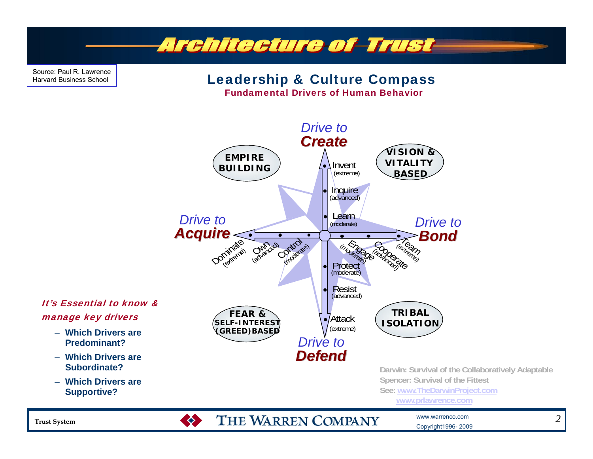

Source: Paul R. LawrenceHarvard Business School

### Leadership & Culture Compass

Fundamental Drivers of Human Behavior